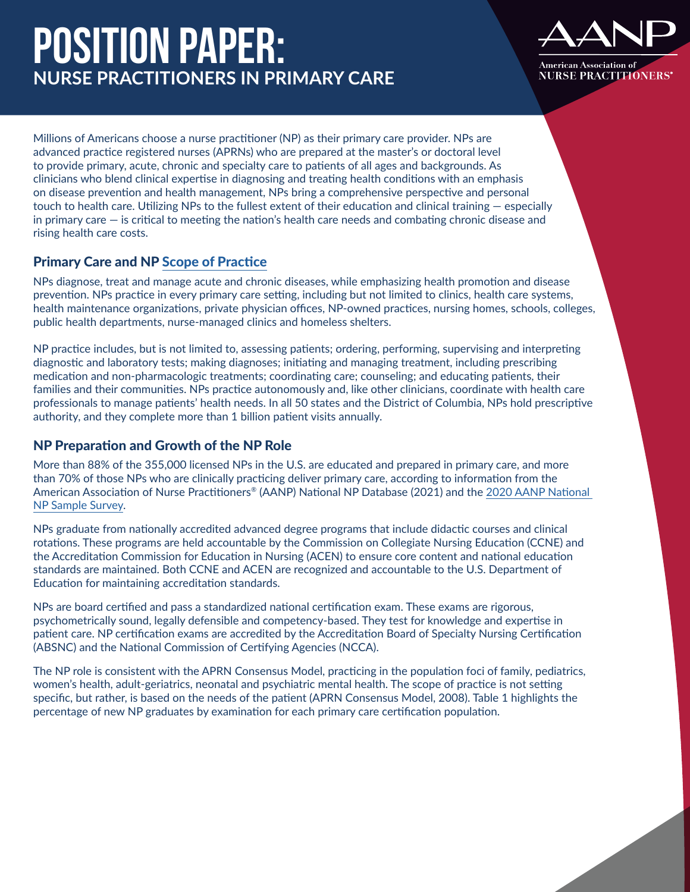# **Position Paper: NURSE PRACTITIONERS IN PRIMARY CARE**



Millions of Americans choose a nurse practitioner (NP) as their primary care provider. NPs are advanced practice registered nurses (APRNs) who are prepared at the master's or doctoral level to provide primary, acute, chronic and specialty care to patients of all ages and backgrounds. As clinicians who blend clinical expertise in diagnosing and treating health conditions with an emphasis on disease prevention and health management, NPs bring a comprehensive perspective and personal touch to health care. Utilizing NPs to the fullest extent of their education and clinical training — especially in primary care — is critical to meeting the nation's health care needs and combating chronic disease and rising health care costs.

## Primary Care and NP [Scope of Practice](https://www.aanp.org/advocacy/advocacy-resource/position-statements/scope-of-practice-for-nurse-practitioners)

NPs diagnose, treat and manage acute and chronic diseases, while emphasizing health promotion and disease prevention. NPs practice in every primary care setting, including but not limited to clinics, health care systems, health maintenance organizations, private physician offices, NP-owned practices, nursing homes, schools, colleges, public health departments, nurse-managed clinics and homeless shelters.

NP practice includes, but is not limited to, assessing patients; ordering, performing, supervising and interpreting diagnostic and laboratory tests; making diagnoses; initiating and managing treatment, including prescribing medication and non-pharmacologic treatments; coordinating care; counseling; and educating patients, their families and their communities. NPs practice autonomously and, like other clinicians, coordinate with health care professionals to manage patients' health needs. In all 50 states and the District of Columbia, NPs hold prescriptive authority, and they complete more than 1 billion patient visits annually.

### NP Preparation and Growth of the NP Role

More than 88% of the 355,000 licensed NPs in the U.S. are educated and prepared in primary care, and more than 70% of those NPs who are clinically practicing deliver primary care, according to information from the American Association of Nurse Practitioners® (AANP) National NP Database (2021) and the [2020 AANP National](https://www.aanp.org/practice/practice-related-research/research-reports)  [NP Sample Survey](https://www.aanp.org/practice/practice-related-research/research-reports).

NPs graduate from nationally accredited advanced degree programs that include didactic courses and clinical rotations. These programs are held accountable by the Commission on Collegiate Nursing Education (CCNE) and the Accreditation Commission for Education in Nursing (ACEN) to ensure core content and national education standards are maintained. Both CCNE and ACEN are recognized and accountable to the U.S. Department of Education for maintaining accreditation standards.

NPs are board certified and pass a standardized national certification exam. These exams are rigorous, psychometrically sound, legally defensible and competency-based. They test for knowledge and expertise in patient care. NP certification exams are accredited by the Accreditation Board of Specialty Nursing Certification (ABSNC) and the National Commission of Certifying Agencies (NCCA).

The NP role is consistent with the APRN Consensus Model, practicing in the population foci of family, pediatrics, women's health, adult-geriatrics, neonatal and psychiatric mental health. The scope of practice is not setting specific, but rather, is based on the needs of the patient (APRN Consensus Model, 2008). Table 1 highlights the percentage of new NP graduates by examination for each primary care certification population.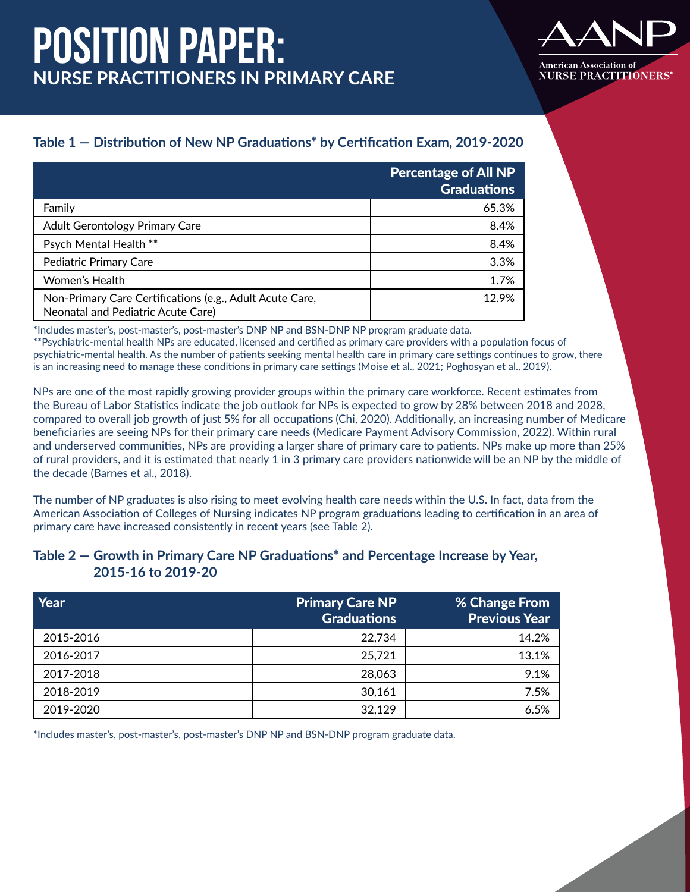# **Position Paper: NURSE PRACTITIONERS IN PRIMARY CARE**



## **Table 1 — Distribution of New NP Graduations\* by Certification Exam, 2019-2020**

|                                                                                                | <b>Percentage of All NP</b><br><b>Graduations</b> |
|------------------------------------------------------------------------------------------------|---------------------------------------------------|
| Family                                                                                         | 65.3%                                             |
| <b>Adult Gerontology Primary Care</b>                                                          | 8.4%                                              |
| Psych Mental Health **                                                                         | 8.4%                                              |
| Pediatric Primary Care                                                                         | 3.3%                                              |
| Women's Health                                                                                 | 1.7%                                              |
| Non-Primary Care Certifications (e.g., Adult Acute Care,<br>Neonatal and Pediatric Acute Care) | 12.9%                                             |

\*Includes master's, post-master's, post-master's DNP NP and BSN-DNP NP program graduate data.

\*\*Psychiatric-mental health NPs are educated, licensed and certified as primary care providers with a population focus of psychiatric-mental health. As the number of patients seeking mental health care in primary care settings continues to grow, there is an increasing need to manage these conditions in primary care settings (Moise et al., 2021; Poghosyan et al., 2019).

NPs are one of the most rapidly growing provider groups within the primary care workforce. Recent estimates from the Bureau of Labor Statistics indicate the job outlook for NPs is expected to grow by 28% between 2018 and 2028, compared to overall job growth of just 5% for all occupations (Chi, 2020). Additionally, an increasing number of Medicare beneficiaries are seeing NPs for their primary care needs (Medicare Payment Advisory Commission, 2022). Within rural and underserved communities, NPs are providing a larger share of primary care to patients. NPs make up more than 25% of rural providers, and it is estimated that nearly 1 in 3 primary care providers nationwide will be an NP by the middle of the decade (Barnes et al., 2018).

The number of NP graduates is also rising to meet evolving health care needs within the U.S. In fact, data from the American Association of Colleges of Nursing indicates NP program graduations leading to certification in an area of primary care have increased consistently in recent years (see Table 2).

### **Table 2 — Growth in Primary Care NP Graduations\* and Percentage Increase by Year, 2015-16 to 2019-20**

| Year      | <b>Primary Care NP</b><br><b>Graduations</b> | % Change From<br><b>Previous Year</b> |
|-----------|----------------------------------------------|---------------------------------------|
| 2015-2016 | 22,734                                       | 14.2%                                 |
| 2016-2017 | 25,721                                       | 13.1%                                 |
| 2017-2018 | 28,063                                       | 9.1%                                  |
| 2018-2019 | 30,161                                       | 7.5%                                  |
| 2019-2020 | 32,129                                       | 6.5%                                  |

\*Includes master's, post-master's, post-master's DNP NP and BSN-DNP program graduate data.